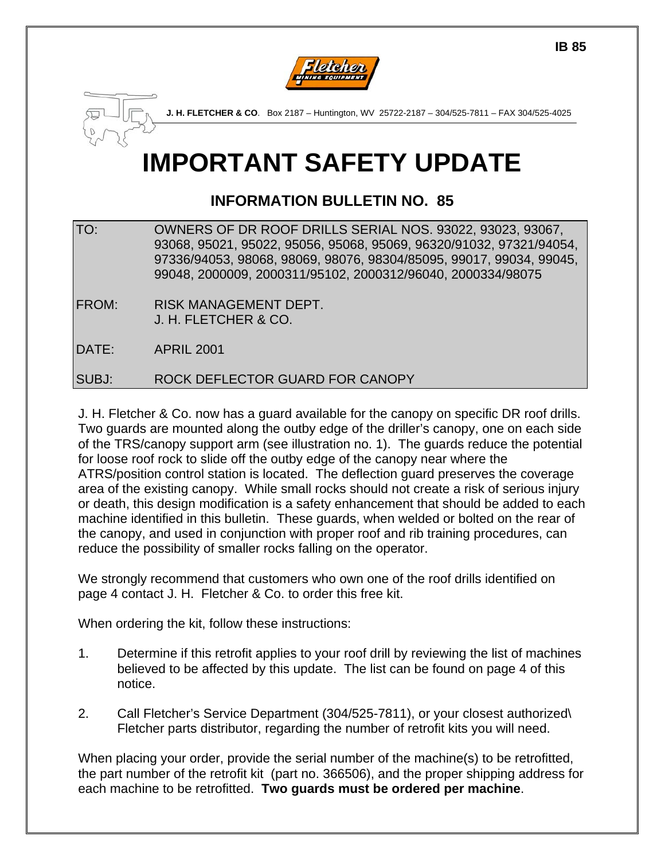



# **IMPORTANT SAFETY UPDATE**

# **INFORMATION BULLETIN NO. 85**

TO: OWNERS OF DR ROOF DRILLS SERIAL NOS. 93022, 93023, 93067, 93068, 95021, 95022, 95056, 95068, 95069, 96320/91032, 97321/94054, 97336/94053, 98068, 98069, 98076, 98304/85095, 99017, 99034, 99045, 99048, 2000009, 2000311/95102, 2000312/96040, 2000334/98075

FROM: RISK MANAGEMENT DEPT. J. H. FLETCHER & CO.

DATE: APRIL 2001

SUBJ: ROCK DEFLECTOR GUARD FOR CANOPY

J. H. Fletcher & Co. now has a guard available for the canopy on specific DR roof drills. Two guards are mounted along the outby edge of the driller's canopy, one on each side of the TRS/canopy support arm (see illustration no. 1). The guards reduce the potential for loose roof rock to slide off the outby edge of the canopy near where the ATRS/position control station is located. The deflection guard preserves the coverage area of the existing canopy. While small rocks should not create a risk of serious injury or death, this design modification is a safety enhancement that should be added to each machine identified in this bulletin. These guards, when welded or bolted on the rear of the canopy, and used in conjunction with proper roof and rib training procedures, can reduce the possibility of smaller rocks falling on the operator.

We strongly recommend that customers who own one of the roof drills identified on page 4 contact J. H. Fletcher & Co. to order this free kit.

When ordering the kit, follow these instructions:

- 1. Determine if this retrofit applies to your roof drill by reviewing the list of machines believed to be affected by this update. The list can be found on page 4 of this notice.
- 2. Call Fletcher's Service Department (304/525-7811), or your closest authorized\ Fletcher parts distributor, regarding the number of retrofit kits you will need.

When placing your order, provide the serial number of the machine(s) to be retrofitted, the part number of the retrofit kit (part no. 366506), and the proper shipping address for each machine to be retrofitted. **Two guards must be ordered per machine**.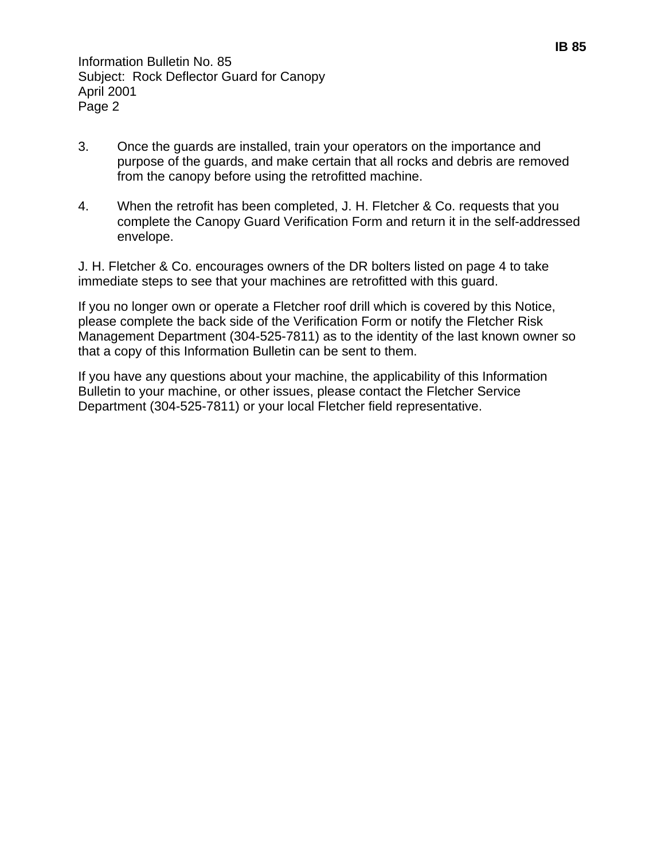- 3. Once the guards are installed, train your operators on the importance and purpose of the guards, and make certain that all rocks and debris are removed from the canopy before using the retrofitted machine.
- 4. When the retrofit has been completed, J. H. Fletcher & Co. requests that you complete the Canopy Guard Verification Form and return it in the self-addressed envelope.

J. H. Fletcher & Co. encourages owners of the DR bolters listed on page 4 to take immediate steps to see that your machines are retrofitted with this guard.

If you no longer own or operate a Fletcher roof drill which is covered by this Notice, please complete the back side of the Verification Form or notify the Fletcher Risk Management Department (304-525-7811) as to the identity of the last known owner so that a copy of this Information Bulletin can be sent to them.

If you have any questions about your machine, the applicability of this Information Bulletin to your machine, or other issues, please contact the Fletcher Service Department (304-525-7811) or your local Fletcher field representative.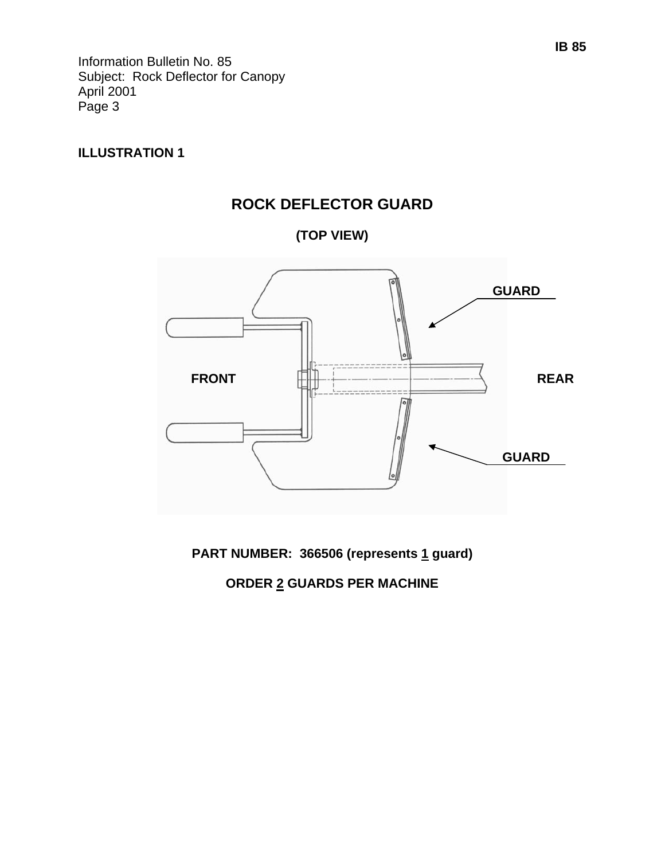#### **ILLUSTRATION 1**



**(TOP VIEW)** 



PART NUMBER: 366506 (represents 1 guard)

#### **ORDER 2 GUARDS PER MACHINE**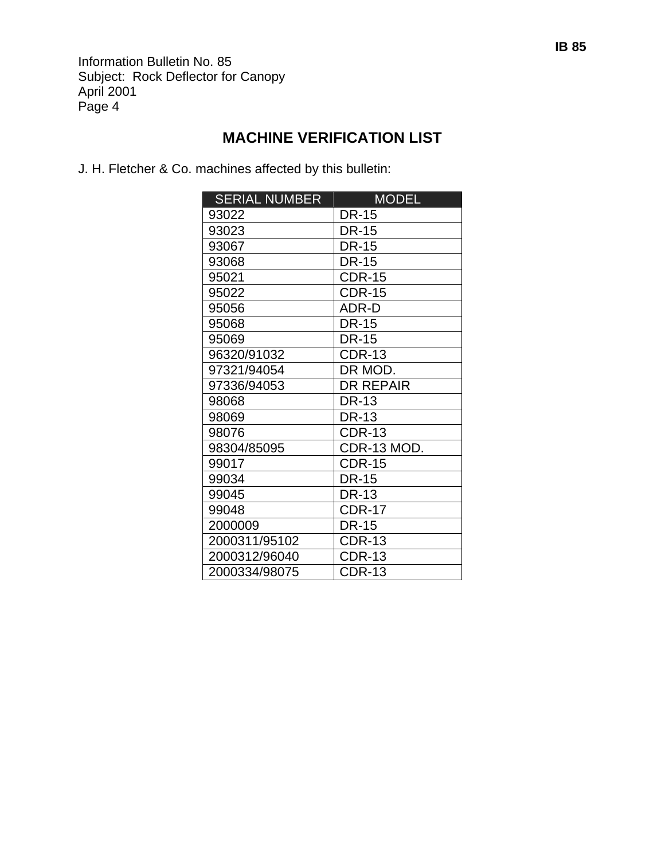## **MACHINE VERIFICATION LIST**

J. H. Fletcher & Co. machines affected by this bulletin:

| <b>SERIAL NUMBER</b> | <b>MODEL</b>     |
|----------------------|------------------|
| 93022                | DR-15            |
| 93023                | <b>DR-15</b>     |
| 93067                | DR-15            |
| 93068                | <b>DR-15</b>     |
| 95021                | <b>CDR-15</b>    |
| 95022                | <b>CDR-15</b>    |
| 95056                | ADR-D            |
| 95068                | <b>DR-15</b>     |
| 95069                | <b>DR-15</b>     |
| 96320/91032          | <b>CDR-13</b>    |
| 97321/94054          | DR MOD.          |
| 97336/94053          | <b>DR REPAIR</b> |
| 98068                | <b>DR-13</b>     |
| 98069                | <b>DR-13</b>     |
| 98076                | <b>CDR-13</b>    |
| 98304/85095          | CDR-13 MOD.      |
| 99017                | <b>CDR-15</b>    |
| 99034                | <b>DR-15</b>     |
| 99045                | <b>DR-13</b>     |
| 99048                | <b>CDR-17</b>    |
| 2000009              | <b>DR-15</b>     |
| 2000311/95102        | <b>CDR-13</b>    |
| 2000312/96040        | CDR-13           |
| 2000334/98075        | CDR-13           |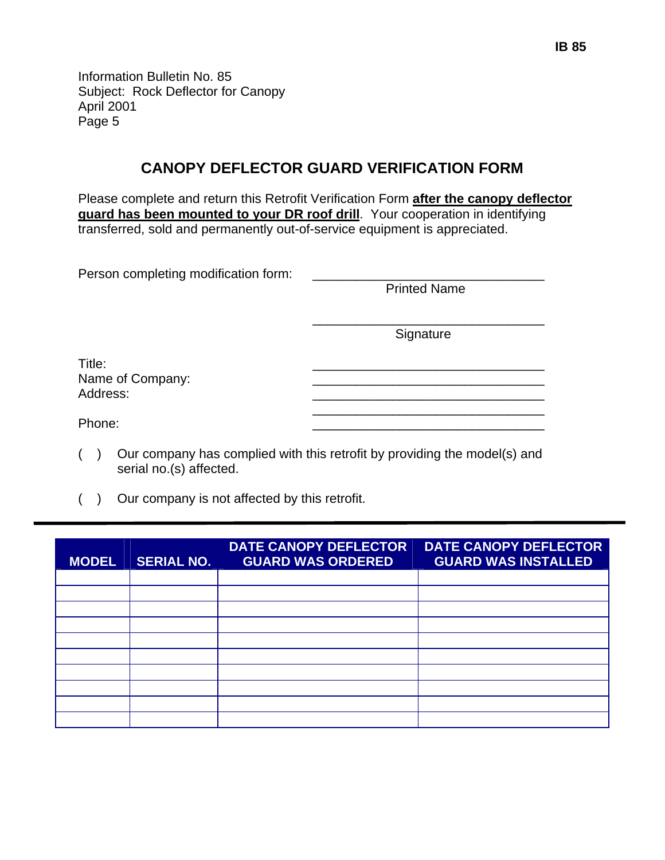### **CANOPY DEFLECTOR GUARD VERIFICATION FORM**

Please complete and return this Retrofit Verification Form **after the canopy deflector guard has been mounted to your DR roof drill**. Your cooperation in identifying transferred, sold and permanently out-of-service equipment is appreciated.

| Person completing modification form: |                     |
|--------------------------------------|---------------------|
|                                      | <b>Printed Name</b> |
|                                      | Signature           |
| Title:<br>Name of Company:           |                     |
| Address:                             |                     |
| Phone:                               |                     |

- ( ) Our company has complied with this retrofit by providing the model(s) and serial no.(s) affected.
- ( ) Our company is not affected by this retrofit.

| <b>MODEL</b> | <b>SERIAL NO.</b> | <b>DATE CANOPY DEFLECTOR</b><br><b>GUARD WAS ORDERED</b> | <b>DATE CANOPY DEFLECTOR</b><br><b>GUARD WAS INSTALLED</b> |
|--------------|-------------------|----------------------------------------------------------|------------------------------------------------------------|
|              |                   |                                                          |                                                            |
|              |                   |                                                          |                                                            |
|              |                   |                                                          |                                                            |
|              |                   |                                                          |                                                            |
|              |                   |                                                          |                                                            |
|              |                   |                                                          |                                                            |
|              |                   |                                                          |                                                            |
|              |                   |                                                          |                                                            |
|              |                   |                                                          |                                                            |
|              |                   |                                                          |                                                            |